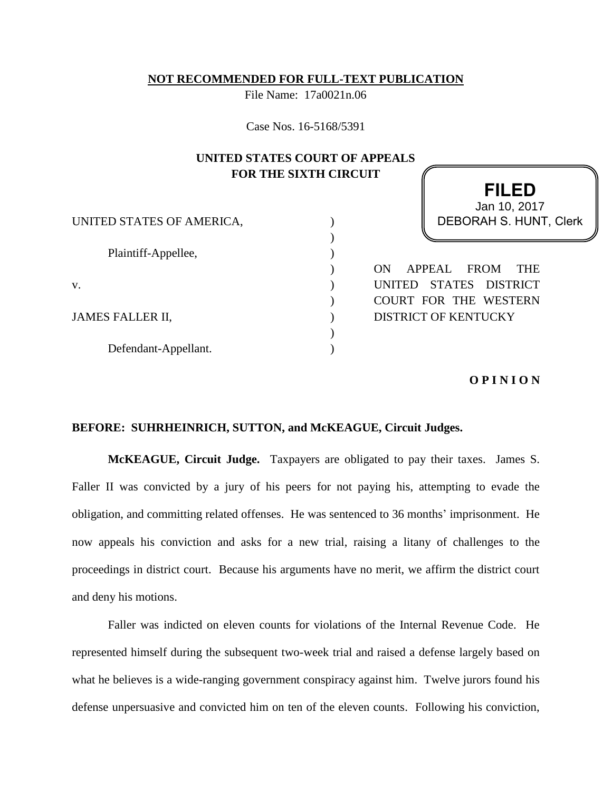### **NOT RECOMMENDED FOR FULL-TEXT PUBLICATION**

File Name: 17a0021n.06

Case Nos. 16-5168/5391

# **UNITED STATES COURT OF APPEALS FOR THE SIXTH CIRCUIT**

| UNITED STATES OF AMERICA, |  |
|---------------------------|--|
|                           |  |
| Plaintiff-Appellee,       |  |
|                           |  |
| V.                        |  |
|                           |  |
| JAMES FALLER II,          |  |
|                           |  |
| Defendant-Appellant.      |  |

**FILED** DEBORAH S. HUNT, Clerk Jan 10, 2017

ON APPEAL FROM THE UNITED STATES DISTRICT COURT FOR THE WESTERN DISTRICT OF KENTUCKY

### **O P I N I O N**

## **BEFORE: SUHRHEINRICH, SUTTON, and McKEAGUE, Circuit Judges.**

**McKEAGUE, Circuit Judge.** Taxpayers are obligated to pay their taxes. James S. Faller II was convicted by a jury of his peers for not paying his, attempting to evade the obligation, and committing related offenses. He was sentenced to 36 months' imprisonment. He now appeals his conviction and asks for a new trial, raising a litany of challenges to the proceedings in district court. Because his arguments have no merit, we affirm the district court and deny his motions.

Faller was indicted on eleven counts for violations of the Internal Revenue Code. He represented himself during the subsequent two-week trial and raised a defense largely based on what he believes is a wide-ranging government conspiracy against him. Twelve jurors found his defense unpersuasive and convicted him on ten of the eleven counts. Following his conviction,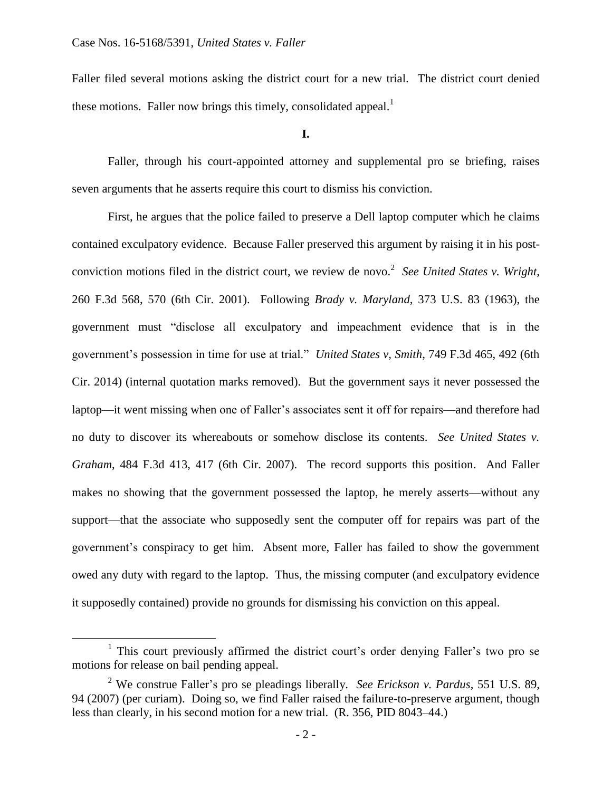$\overline{a}$ 

Faller filed several motions asking the district court for a new trial. The district court denied these motions. Faller now brings this timely, consolidated appeal.<sup>1</sup>

**I.**

Faller, through his court-appointed attorney and supplemental pro se briefing, raises seven arguments that he asserts require this court to dismiss his conviction.

First, he argues that the police failed to preserve a Dell laptop computer which he claims contained exculpatory evidence. Because Faller preserved this argument by raising it in his postconviction motions filed in the district court, we review de novo.<sup>2</sup> See United States v. Wright, 260 F.3d 568, 570 (6th Cir. 2001). Following *Brady v. Maryland*, 373 U.S. 83 (1963), the government must "disclose all exculpatory and impeachment evidence that is in the government's possession in time for use at trial." *United States v, Smith*, 749 F.3d 465, 492 (6th Cir. 2014) (internal quotation marks removed). But the government says it never possessed the laptop—it went missing when one of Faller's associates sent it off for repairs—and therefore had no duty to discover its whereabouts or somehow disclose its contents. *See United States v. Graham*, 484 F.3d 413, 417 (6th Cir. 2007). The record supports this position. And Faller makes no showing that the government possessed the laptop, he merely asserts—without any support—that the associate who supposedly sent the computer off for repairs was part of the government's conspiracy to get him. Absent more, Faller has failed to show the government owed any duty with regard to the laptop. Thus, the missing computer (and exculpatory evidence it supposedly contained) provide no grounds for dismissing his conviction on this appeal.

<sup>&</sup>lt;sup>1</sup> This court previously affirmed the district court's order denying Faller's two pro se motions for release on bail pending appeal.

<sup>2</sup> We construe Faller's pro se pleadings liberally. *See Erickson v. Pardus*, 551 U.S. 89, 94 (2007) (per curiam). Doing so, we find Faller raised the failure-to-preserve argument, though less than clearly, in his second motion for a new trial. (R. 356, PID 8043–44.)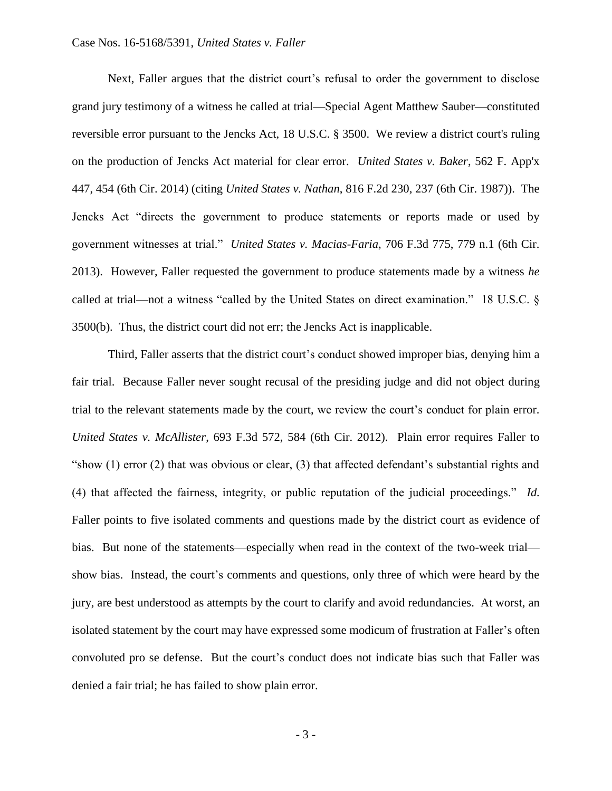#### Case Nos. 16-5168/5391, *United States v. Faller*

Next, Faller argues that the district court's refusal to order the government to disclose grand jury testimony of a witness he called at trial—Special Agent Matthew Sauber—constituted reversible error pursuant to the Jencks Act, 18 U.S.C. § 3500. We review a district court's ruling on the production of Jencks Act material for clear error. *United States v. Baker*, 562 F. App'x 447, 454 (6th Cir. 2014) (citing *United States v. Nathan*, 816 F.2d 230, 237 (6th Cir. 1987)). The Jencks Act "directs the government to produce statements or reports made or used by government witnesses at trial." *United States v. Macias-Faria*, 706 F.3d 775, 779 n.1 (6th Cir. 2013). However, Faller requested the government to produce statements made by a witness *he* called at trial—not a witness "called by the United States on direct examination." 18 U.S.C. § 3500(b). Thus, the district court did not err; the Jencks Act is inapplicable.

Third, Faller asserts that the district court's conduct showed improper bias, denying him a fair trial. Because Faller never sought recusal of the presiding judge and did not object during trial to the relevant statements made by the court, we review the court's conduct for plain error. *United States v. McAllister*, 693 F.3d 572, 584 (6th Cir. 2012). Plain error requires Faller to "show (1) error (2) that was obvious or clear, (3) that affected defendant's substantial rights and (4) that affected the fairness, integrity, or public reputation of the judicial proceedings." *Id.*  Faller points to five isolated comments and questions made by the district court as evidence of bias. But none of the statements—especially when read in the context of the two-week trial show bias. Instead, the court's comments and questions, only three of which were heard by the jury, are best understood as attempts by the court to clarify and avoid redundancies. At worst, an isolated statement by the court may have expressed some modicum of frustration at Faller's often convoluted pro se defense. But the court's conduct does not indicate bias such that Faller was denied a fair trial; he has failed to show plain error.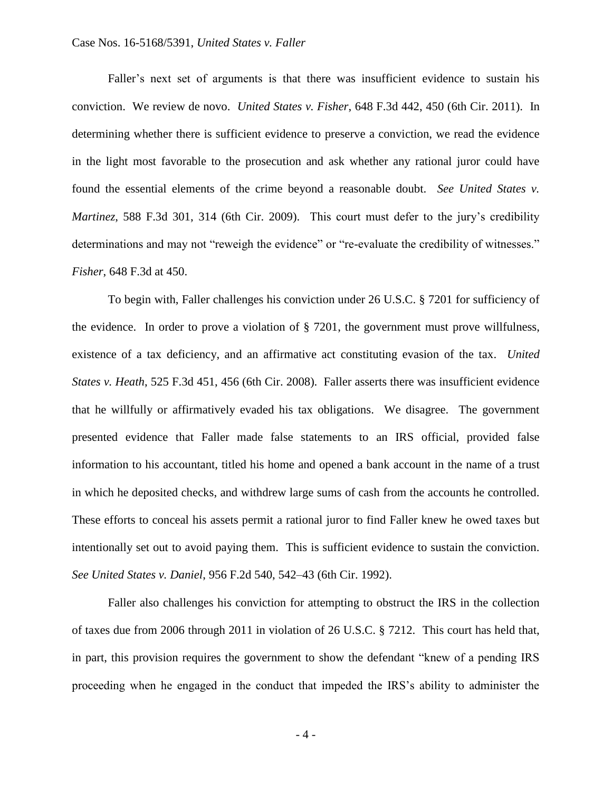#### Case Nos. 16-5168/5391, *United States v. Faller*

Faller's next set of arguments is that there was insufficient evidence to sustain his conviction. We review de novo. *United States v. Fisher*, 648 F.3d 442, 450 (6th Cir. 2011). In determining whether there is sufficient evidence to preserve a conviction, we read the evidence in the light most favorable to the prosecution and ask whether any rational juror could have found the essential elements of the crime beyond a reasonable doubt. *See United States v. Martinez*, 588 F.3d 301, 314 (6th Cir. 2009). This court must defer to the jury's credibility determinations and may not "reweigh the evidence" or "re-evaluate the credibility of witnesses." *Fisher*, 648 F.3d at 450.

To begin with, Faller challenges his conviction under 26 U.S.C. § 7201 for sufficiency of the evidence. In order to prove a violation of § 7201, the government must prove willfulness, existence of a tax deficiency, and an affirmative act constituting evasion of the tax. *United States v. Heath*, 525 F.3d 451, 456 (6th Cir. 2008). Faller asserts there was insufficient evidence that he willfully or affirmatively evaded his tax obligations. We disagree. The government presented evidence that Faller made false statements to an IRS official, provided false information to his accountant, titled his home and opened a bank account in the name of a trust in which he deposited checks, and withdrew large sums of cash from the accounts he controlled. These efforts to conceal his assets permit a rational juror to find Faller knew he owed taxes but intentionally set out to avoid paying them. This is sufficient evidence to sustain the conviction. *See United States v. Daniel*, 956 F.2d 540, 542–43 (6th Cir. 1992).

Faller also challenges his conviction for attempting to obstruct the IRS in the collection of taxes due from 2006 through 2011 in violation of 26 U.S.C. § 7212. This court has held that, in part, this provision requires the government to show the defendant "knew of a pending IRS proceeding when he engaged in the conduct that impeded the IRS's ability to administer the

- 4 -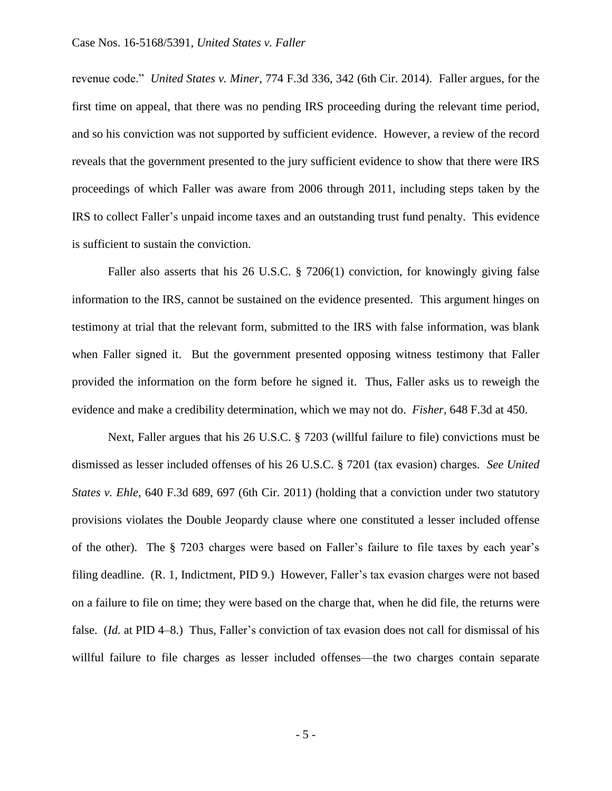revenue code." *United States v. Miner*, 774 F.3d 336, 342 (6th Cir. 2014). Faller argues, for the first time on appeal, that there was no pending IRS proceeding during the relevant time period, and so his conviction was not supported by sufficient evidence. However, a review of the record reveals that the government presented to the jury sufficient evidence to show that there were IRS proceedings of which Faller was aware from 2006 through 2011, including steps taken by the IRS to collect Faller's unpaid income taxes and an outstanding trust fund penalty. This evidence is sufficient to sustain the conviction.

Faller also asserts that his 26 U.S.C. § 7206(1) conviction, for knowingly giving false information to the IRS, cannot be sustained on the evidence presented. This argument hinges on testimony at trial that the relevant form, submitted to the IRS with false information, was blank when Faller signed it. But the government presented opposing witness testimony that Faller provided the information on the form before he signed it. Thus, Faller asks us to reweigh the evidence and make a credibility determination, which we may not do. *Fisher*, 648 F.3d at 450.

Next, Faller argues that his 26 U.S.C. § 7203 (willful failure to file) convictions must be dismissed as lesser included offenses of his 26 U.S.C. § 7201 (tax evasion) charges. *See United States v. Ehle*, 640 F.3d 689, 697 (6th Cir. 2011) (holding that a conviction under two statutory provisions violates the Double Jeopardy clause where one constituted a lesser included offense of the other). The § 7203 charges were based on Faller's failure to file taxes by each year's filing deadline. (R. 1, Indictment, PID 9.) However, Faller's tax evasion charges were not based on a failure to file on time; they were based on the charge that, when he did file, the returns were false. (*Id.* at PID 4–8.) Thus, Faller's conviction of tax evasion does not call for dismissal of his willful failure to file charges as lesser included offenses—the two charges contain separate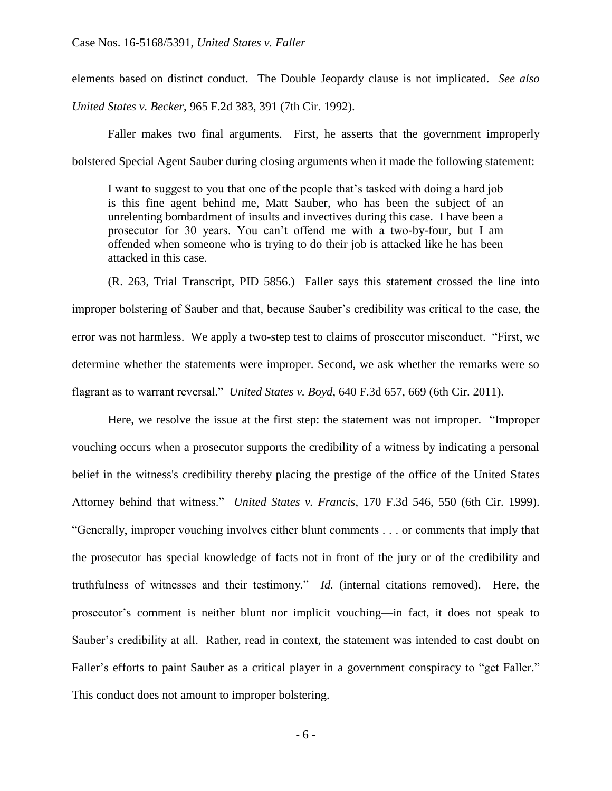elements based on distinct conduct. The Double Jeopardy clause is not implicated. *See also*

*United States v. Becker*, 965 F.2d 383, 391 (7th Cir. 1992).

Faller makes two final arguments. First, he asserts that the government improperly bolstered Special Agent Sauber during closing arguments when it made the following statement:

I want to suggest to you that one of the people that's tasked with doing a hard job is this fine agent behind me, Matt Sauber, who has been the subject of an unrelenting bombardment of insults and invectives during this case. I have been a prosecutor for 30 years. You can't offend me with a two-by-four, but I am offended when someone who is trying to do their job is attacked like he has been attacked in this case.

(R. 263, Trial Transcript, PID 5856.) Faller says this statement crossed the line into improper bolstering of Sauber and that, because Sauber's credibility was critical to the case, the error was not harmless. We apply a two-step test to claims of prosecutor misconduct. "First, we determine whether the statements were improper. Second, we ask whether the remarks were so flagrant as to warrant reversal." *United States v. Boyd*, 640 F.3d 657, 669 (6th Cir. 2011).

Here, we resolve the issue at the first step: the statement was not improper. "Improper vouching occurs when a prosecutor supports the credibility of a witness by indicating a personal belief in the witness's credibility thereby placing the prestige of the office of the United States Attorney behind that witness." *United States v. Francis*, 170 F.3d 546, 550 (6th Cir. 1999). "Generally, improper vouching involves either blunt comments . . . or comments that imply that the prosecutor has special knowledge of facts not in front of the jury or of the credibility and truthfulness of witnesses and their testimony." *Id.* (internal citations removed). Here, the prosecutor's comment is neither blunt nor implicit vouching—in fact, it does not speak to Sauber's credibility at all. Rather, read in context, the statement was intended to cast doubt on Faller's efforts to paint Sauber as a critical player in a government conspiracy to "get Faller." This conduct does not amount to improper bolstering.